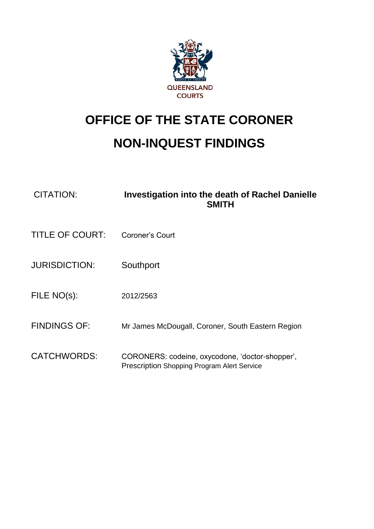

## **OFFICE OF THE STATE CORONER**

## **NON-INQUEST FINDINGS**

| CITATION: | Investigation into the death of Rachel Danielle |
|-----------|-------------------------------------------------|
|           | <b>SMITH</b>                                    |

- TITLE OF COURT: Coroner's Court
- JURISDICTION: Southport
- FILE NO(s): 2012/2563
- FINDINGS OF: Mr James McDougall, Coroner, South Eastern Region
- CATCHWORDS: CORONERS: codeine, oxycodone, 'doctor-shopper', Prescription Shopping Program Alert Service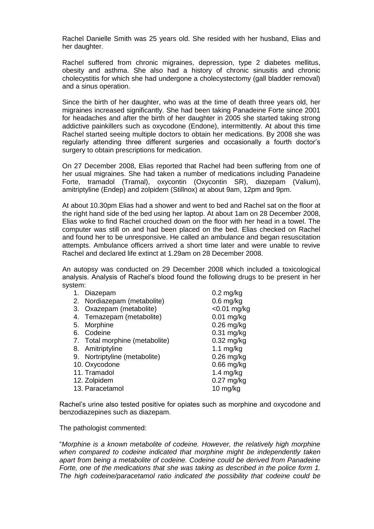Rachel Danielle Smith was 25 years old. She resided with her husband, Elias and her daughter.

Rachel suffered from chronic migraines, depression, type 2 diabetes mellitus, obesity and asthma. She also had a history of chronic sinusitis and chronic cholecystitis for which she had undergone a cholecystectomy (gall bladder removal) and a sinus operation.

Since the birth of her daughter, who was at the time of death three years old, her migraines increased significantly. She had been taking Panadeine Forte since 2001 for headaches and after the birth of her daughter in 2005 she started taking strong addictive painkillers such as oxycodone (Endone), intermittently. At about this time Rachel started seeing multiple doctors to obtain her medications. By 2008 she was regularly attending three different surgeries and occasionally a fourth doctor's surgery to obtain prescriptions for medication.

On 27 December 2008, Elias reported that Rachel had been suffering from one of her usual migraines. She had taken a number of medications including Panadeine Forte, tramadol (Tramal), oxycontin (Oxycontin SR), diazepam (Valium), amitriptyline (Endep) and zolpidem (Stillnox) at about 9am, 12pm and 9pm.

At about 10.30pm Elias had a shower and went to bed and Rachel sat on the floor at the right hand side of the bed using her laptop. At about 1am on 28 December 2008, Elias woke to find Rachel crouched down on the floor with her head in a towel. The computer was still on and had been placed on the bed. Elias checked on Rachel and found her to be unresponsive. He called an ambulance and began resuscitation attempts. Ambulance officers arrived a short time later and were unable to revive Rachel and declared life extinct at 1.29am on 28 December 2008.

An autopsy was conducted on 29 December 2008 which included a toxicological analysis. Analysis of Rachel's blood found the following drugs to be present in her system:

| Diazepam<br>1.                 | $0.2$ mg/kg        |
|--------------------------------|--------------------|
| 2. Nordiazepam (metabolite)    | $0.6$ mg/kg        |
| 3. Oxazepam (metabolite)       | $<$ 0.01 mg/kg     |
| 4. Temazepam (metabolite)      | $0.01$ mg/kg       |
| 5.<br>Morphine                 | $0.26$ mg/kg       |
| Codeine<br>6.                  | $0.31$ mg/kg       |
| 7. Total morphine (metabolite) | $0.32$ mg/kg       |
| Amitriptyline<br>8.            | 1.1 $mg/kg$        |
| 9. Nortriptyline (metabolite)  | $0.26$ mg/kg       |
| 10. Oxycodone                  | $0.66$ mg/kg       |
| 11. Tramadol                   | 1.4 $mg/kg$        |
| 12. Zolpidem                   | $0.27$ mg/kg       |
| 13. Paracetamol                | $10 \text{ mg/kg}$ |
|                                |                    |

Rachel's urine also tested positive for opiates such as morphine and oxycodone and benzodiazepines such as diazepam.

The pathologist commented:

"*Morphine is a known metabolite of codeine. However, the relatively high morphine when compared to codeine indicated that morphine might be independently taken apart from being a metabolite of codeine. Codeine could be derived from Panadeine Forte, one of the medications that she was taking as described in the police form 1. The high codeine/paracetamol ratio indicated the possibility that codeine could be*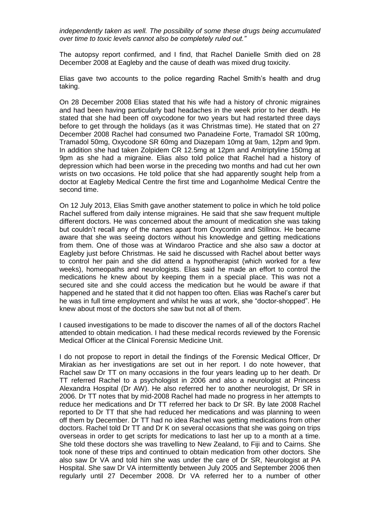*independently taken as well. The possibility of some these drugs being accumulated over time to toxic levels cannot also be completely ruled out."*

The autopsy report confirmed, and I find, that Rachel Danielle Smith died on 28 December 2008 at Eagleby and the cause of death was mixed drug toxicity.

Elias gave two accounts to the police regarding Rachel Smith's health and drug taking.

On 28 December 2008 Elias stated that his wife had a history of chronic migraines and had been having particularly bad headaches in the week prior to her death. He stated that she had been off oxycodone for two years but had restarted three days before to get through the holidays (as it was Christmas time). He stated that on 27 December 2008 Rachel had consumed two Panadeine Forte, Tramadol SR 100mg, Tramadol 50mg, Oxycodone SR 60mg and Diazepam 10mg at 9am, 12pm and 9pm. In addition she had taken Zolpidem CR 12.5mg at 12pm and Amitriptyline 150mg at 9pm as she had a migraine. Elias also told police that Rachel had a history of depression which had been worse in the preceding two months and had cut her own wrists on two occasions. He told police that she had apparently sought help from a doctor at Eagleby Medical Centre the first time and Loganholme Medical Centre the second time.

On 12 July 2013, Elias Smith gave another statement to police in which he told police Rachel suffered from daily intense migraines. He said that she saw frequent multiple different doctors. He was concerned about the amount of medication she was taking but couldn't recall any of the names apart from Oxycontin and Stillnox. He became aware that she was seeing doctors without his knowledge and getting medications from them. One of those was at Windaroo Practice and she also saw a doctor at Eagleby just before Christmas. He said he discussed with Rachel about better ways to control her pain and she did attend a hypnotherapist (which worked for a few weeks), homeopaths and neurologists. Elias said he made an effort to control the medications he knew about by keeping them in a special place. This was not a secured site and she could access the medication but he would be aware if that happened and he stated that it did not happen too often. Elias was Rachel's carer but he was in full time employment and whilst he was at work, she "doctor-shopped". He knew about most of the doctors she saw but not all of them.

I caused investigations to be made to discover the names of all of the doctors Rachel attended to obtain medication. I had these medical records reviewed by the Forensic Medical Officer at the Clinical Forensic Medicine Unit.

I do not propose to report in detail the findings of the Forensic Medical Officer, Dr Mirakian as her investigations are set out in her report. I do note however, that Rachel saw Dr TT on many occasions in the four years leading up to her death. Dr TT referred Rachel to a psychologist in 2006 and also a neurologist at Princess Alexandra Hospital (Dr AW). He also referred her to another neurologist, Dr SR in 2006. Dr TT notes that by mid-2008 Rachel had made no progress in her attempts to reduce her medications and Dr TT referred her back to Dr SR. By late 2008 Rachel reported to Dr TT that she had reduced her medications and was planning to ween off them by December. Dr TT had no idea Rachel was getting medications from other doctors. Rachel told Dr TT and Dr K on several occasions that she was going on trips overseas in order to get scripts for medications to last her up to a month at a time. She told these doctors she was travelling to New Zealand, to Fiji and to Cairns. She took none of these trips and continued to obtain medication from other doctors. She also saw Dr VA and told him she was under the care of Dr SR, Neurologist at PA Hospital. She saw Dr VA intermittently between July 2005 and September 2006 then regularly until 27 December 2008. Dr VA referred her to a number of other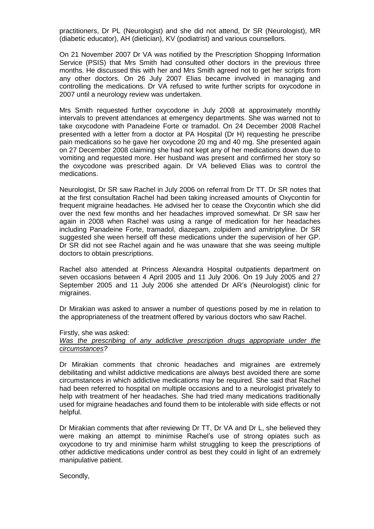practitioners, Dr PL (Neurologist) and she did not attend, Dr SR (Neurologist), MR (diabetic educator), AH (dietician), KV (podiatrist) and various counsellors.

On 21 November 2007 Dr VA was notified by the Prescription Shopping Information Service (PSIS) that Mrs Smith had consulted other doctors in the previous three months. He discussed this with her and Mrs Smith agreed not to get her scripts from any other doctors. On 26 July 2007 Elias became involved in managing and controlling the medications. Dr VA refused to write further scripts for oxycodone in 2007 until a neurology review was undertaken.

Mrs Smith requested further oxycodone in July 2008 at approximately monthly intervals to prevent attendances at emergency departments. She was warned not to take oxycodone with Panadeine Forte or tramadol. On 24 December 2008 Rachel presented with a letter from a doctor at PA Hospital (Dr H) requesting he prescribe pain medications so he gave her oxycodone 20 mg and 40 mg. She presented again on 27 December 2008 claiming she had not kept any of her medications down due to vomiting and requested more. Her husband was present and confirmed her story so the oxycodone was prescribed again. Dr VA believed Elias was to control the medications.

Neurologist, Dr SR saw Rachel in July 2006 on referral from Dr TT. Dr SR notes that at the first consultation Rachel had been taking increased amounts of Oxycontin for frequent migraine headaches. He advised her to cease the Oxycontin which she did over the next few months and her headaches improved somewhat. Dr SR saw her again in 2008 when Rachel was using a range of medication for her headaches including Panadeine Forte, tramadol, diazepam, zolpidem and amitriptyline. Dr SR suggested she ween herself off these medications under the supervision of her GP. Dr SR did not see Rachel again and he was unaware that she was seeing multiple doctors to obtain prescriptions.

Rachel also attended at Princess Alexandra Hospital outpatients department on seven occasions between 4 April 2005 and 11 July 2006. On 19 July 2005 and 27 September 2005 and 11 July 2006 she attended Dr AR's (Neurologist) clinic for migraines.

Dr Mirakian was asked to answer a number of questions posed by me in relation to the appropriateness of the treatment offered by various doctors who saw Rachel.

Firstly, she was asked:

*Was the prescribing of any addictive prescription drugs appropriate under the circumstances?*

Dr Mirakian comments that chronic headaches and migraines are extremely debilitating and whilst addictive medications are always best avoided there are some circumstances in which addictive medications may be required. She said that Rachel had been referred to hospital on multiple occasions and to a neurologist privately to help with treatment of her headaches. She had tried many medications traditionally used for migraine headaches and found them to be intolerable with side effects or not helpful.

Dr Mirakian comments that after reviewing Dr TT, Dr VA and Dr L, she believed they were making an attempt to minimise Rachel's use of strong opiates such as oxycodone to try and minimise harm whilst struggling to keep the prescriptions of other addictive medications under control as best they could in light of an extremely manipulative patient.

Secondly,